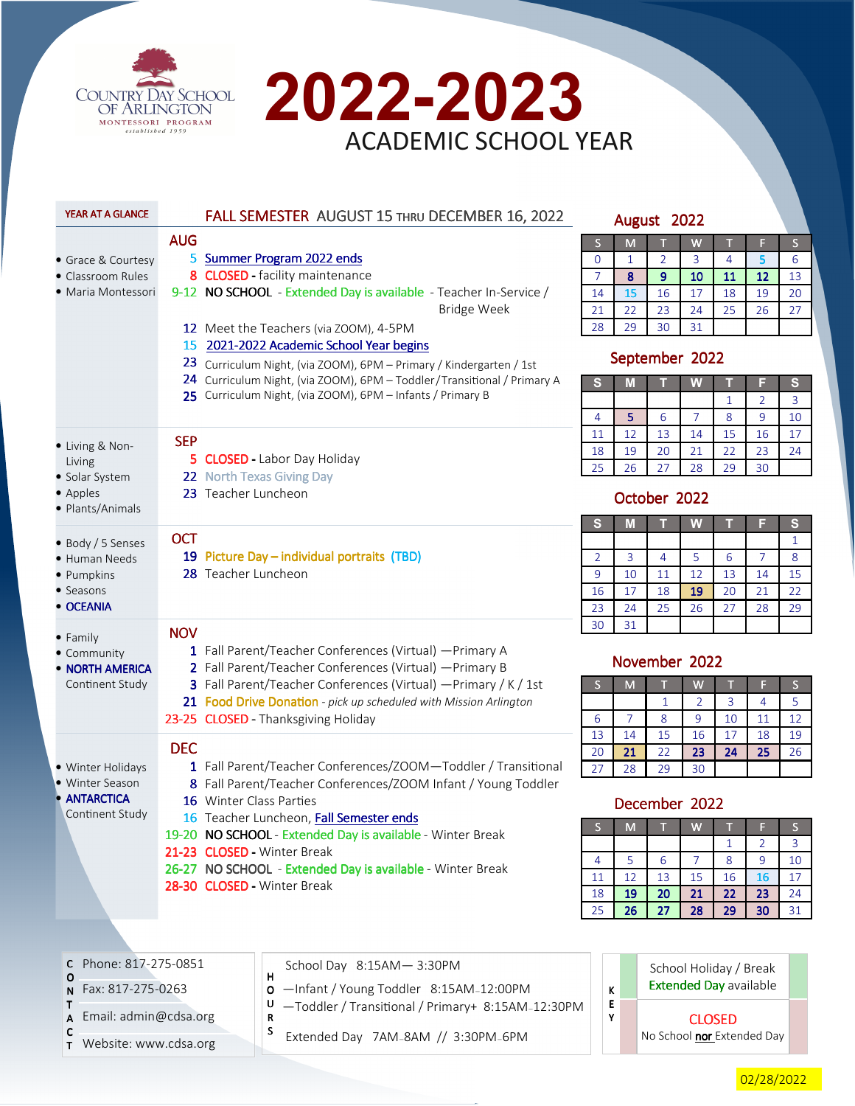



| YEAR AT A GLANCE                |                                                                                                                    | FALL SEMESTER AUGUST 15 THRU DECEMBER 16, 2022                                                        |                         |                | August 2022    |                               |              |                |                   |
|---------------------------------|--------------------------------------------------------------------------------------------------------------------|-------------------------------------------------------------------------------------------------------|-------------------------|----------------|----------------|-------------------------------|--------------|----------------|-------------------|
|                                 | <b>AUG</b>                                                                                                         |                                                                                                       | $\overline{\mathsf{S}}$ | M              |                | W                             |              | F              | $\mathsf{S}$      |
| • Grace & Courtesy              | 5                                                                                                                  | <b>Summer Program 2022 ends</b>                                                                       | $\mathbf{O}$            | 1              | $\overline{2}$ | 3                             | 4            | 5              | 6                 |
| • Classroom Rules               |                                                                                                                    | 8 CLOSED - facility maintenance                                                                       | $\overline{7}$          | 8              | 9              | 10                            | 11           | 12             | 13                |
| • Maria Montessori              |                                                                                                                    | 9-12 NO SCHOOL - Extended Day is available - Teacher In-Service /                                     | 14                      | 15             | 16             | 17                            | 18           | 19             | 20                |
|                                 |                                                                                                                    | <b>Bridge Week</b>                                                                                    | 21                      | 22             | 23             | 24                            | 25           | 26             | 27                |
|                                 |                                                                                                                    | 12 Meet the Teachers (via ZOOM), 4-5PM                                                                | 28                      | 29             | 30             | 31                            |              |                |                   |
|                                 |                                                                                                                    | 15 2021-2022 Academic School Year begins                                                              |                         |                |                |                               |              |                |                   |
|                                 |                                                                                                                    | 23 Curriculum Night, (via ZOOM), 6PM - Primary / Kindergarten / 1st                                   |                         |                | September 2022 |                               |              |                |                   |
|                                 |                                                                                                                    | 24 Curriculum Night, (via ZOOM), 6PM - Toddler/Transitional / Primary A                               | s                       | M              |                | W                             |              |                | S                 |
|                                 |                                                                                                                    | 25 Curriculum Night, (via ZOOM), 6PM - Infants / Primary B                                            |                         |                |                |                               | $\mathbf{1}$ | $\overline{2}$ | 3                 |
|                                 |                                                                                                                    |                                                                                                       | 4                       | 5              | 6              | $\overline{7}$                | 8            | 9              | 10                |
| • Living & Non-                 | <b>SEP</b>                                                                                                         |                                                                                                       | 11                      | 12             | 13             | 14                            | 15           | 16             | 17                |
| Living                          |                                                                                                                    | 5 CLOSED - Labor Day Holiday                                                                          | 18                      | 19             | 20             | 21                            | 22           | 23             | 24                |
| • Solar System                  |                                                                                                                    | 22 North Texas Giving Day                                                                             | 25                      | 26             | 27             | 28                            | 29           | 30             |                   |
| • Apples                        | 23 Teacher Luncheon                                                                                                |                                                                                                       |                         |                | October 2022   |                               |              |                |                   |
| · Plants/Animals                |                                                                                                                    |                                                                                                       |                         |                |                |                               |              |                |                   |
|                                 | <b>OCT</b>                                                                                                         |                                                                                                       | S                       | M              | т              | W                             |              | F              | $\mathbf{s}$      |
| · Body / 5 Senses               |                                                                                                                    | 19 Picture Day - individual portraits (TBD)                                                           | 2                       | 3              | $\overline{4}$ | 5                             | 6            | $\overline{7}$ | $\mathbf{1}$<br>8 |
| • Human Needs<br>· Pumpkins     | 28 Teacher Luncheon                                                                                                |                                                                                                       | 9                       | 10             | 11             | 12                            | 13           | 14             | 15                |
| • Seasons                       |                                                                                                                    |                                                                                                       | 16                      | 17             | 18             | 19                            | 20           | 21             | 22                |
| • OCEANIA                       |                                                                                                                    |                                                                                                       | 23                      | 24             | 25             | 26                            | 27           | 28             | 29                |
|                                 |                                                                                                                    |                                                                                                       | 30                      | 31             |                |                               |              |                |                   |
| • Family                        | <b>NOV</b>                                                                                                         |                                                                                                       |                         |                |                |                               |              |                |                   |
| • Community<br>• NORTH AMERICA  | 1 Fall Parent/Teacher Conferences (Virtual) - Primary A<br>2 Fall Parent/Teacher Conferences (Virtual) - Primary B |                                                                                                       |                         | November 2022  |                |                               |              |                |                   |
| Continent Study                 |                                                                                                                    | 3 Fall Parent/Teacher Conferences (Virtual) - Primary / K / 1st                                       | S                       | M              |                | W                             |              | F              | S                 |
|                                 |                                                                                                                    | 21 Food Drive Donation - pick up scheduled with Mission Arlington                                     |                         |                | $\mathbf{1}$   | $\overline{2}$                | 3            | $\overline{4}$ | 5                 |
|                                 |                                                                                                                    | 23-25 CLOSED - Thanksgiving Holiday                                                                   | 6                       | $\overline{7}$ | 8              | 9                             | 10           | 11             | 12                |
|                                 |                                                                                                                    |                                                                                                       | 13                      | 14             | 15             | 16                            | 17           | 18             | 19                |
|                                 | <b>DEC</b>                                                                                                         |                                                                                                       | 20                      | 21             | 22             | 23                            | 24           | 25             | 26                |
| · Winter Holidays               |                                                                                                                    | 1 Fall Parent/Teacher Conferences/ZOOM-Toddler / Transitional                                         | 27                      | 28             | 29             | 30                            |              |                |                   |
| • Winter Season<br>• ANTARCTICA |                                                                                                                    | 8 Fall Parent/Teacher Conferences/ZOOM Infant / Young Toddler                                         |                         |                |                |                               |              |                |                   |
| Continent Study                 |                                                                                                                    | 16 Winter Class Parties                                                                               |                         |                | December 2022  |                               |              |                |                   |
|                                 |                                                                                                                    | 16 Teacher Luncheon, Fall Semester ends<br>19-20 NO SCHOOL - Extended Day is available - Winter Break | S                       | M              |                | W                             |              | F              | S                 |
|                                 |                                                                                                                    | 21-23 CLOSED - Winter Break                                                                           |                         |                |                |                               | 1            | 2              | 3                 |
|                                 |                                                                                                                    | 26-27 NO SCHOOL - Extended Day is available - Winter Break                                            | 4                       | 5              | 6              | $\overline{7}$                | 8            | 9              | 10                |
|                                 |                                                                                                                    | 28-30 CLOSED - Winter Break                                                                           | 11                      | 12             | 13             | 15                            | 16           | 16             | 17                |
|                                 |                                                                                                                    |                                                                                                       | 18                      | 19             | 20             | 21                            | 22           | 23             | 24                |
|                                 |                                                                                                                    |                                                                                                       | 25                      | 26             | 27             | 28                            | 29           | 30             | 31                |
|                                 |                                                                                                                    |                                                                                                       |                         |                |                |                               |              |                |                   |
| Phone: 817-275-0851<br>с        |                                                                                                                    | School Day 8:15AM-3:30PM                                                                              |                         |                |                |                               |              |                |                   |
| $\Omega$                        |                                                                                                                    | $\mathsf{H}$                                                                                          |                         |                |                | School Holiday / Break        |              |                |                   |
| Fax: 817-275-0263               |                                                                                                                    | -Infant / Young Toddler 8:15AM-12:00PM<br>0                                                           | K                       |                |                | <b>Extended Day available</b> |              |                |                   |
| Τ                               |                                                                                                                    | $U -$ Toddler / Transitional / Primary+ 8:15AM-12:30PM                                                | Е                       |                |                |                               |              |                |                   |

T A Email: admin@cdsa.org

C T Website: www.cdsa.org S

- 
- U R  $-$ Toddler / Transitional / Primary+ 8:15AM-12:30PM
	- Extended Day 7AM—8AM // 3:30PM—6PM

02/28/2022

CLOSED No School nor Extended Day

Y